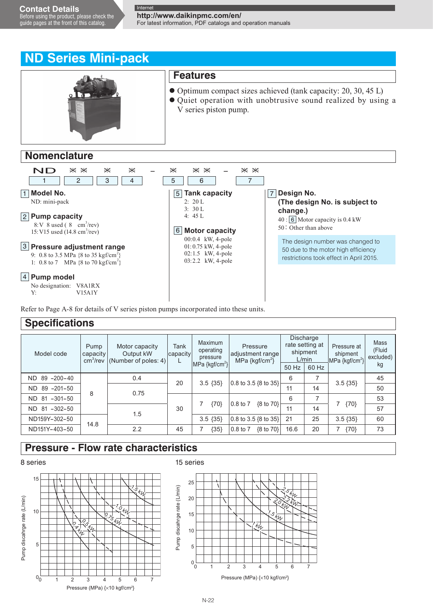**http://www.daikinpmc.com/en/** For latest information, PDF catalogs and operation manuals

# **ND Series Mini-pack**



## **Nomenclature**



Refer to Page A-8 for details of V series piston pumps incorporated into these units.

## **Specifications**

| Model code             | Pump<br>capacity<br>cm <sup>3</sup> /rev | Motor capacity<br>Output kW<br>(Number of poles: 4) | Tank<br>capacity | Maximum<br>operating<br>pressure<br>$MPa \{ kgf/cm^2 \}$ | Pressure<br>adjustment range<br>MPa $\{kgf/cm^2\}$ | L/min<br>50 Hz | Discharge<br>rate setting at<br>shipment<br>60 Hz | Pressure at<br>shipment<br>$MPa \{ kgf/cm^2 \}$ | Mass<br>(Fluid<br>excluded)<br>kg |
|------------------------|------------------------------------------|-----------------------------------------------------|------------------|----------------------------------------------------------|----------------------------------------------------|----------------|---------------------------------------------------|-------------------------------------------------|-----------------------------------|
| $89 - 200 - 40$<br>ND. | 0.4                                      |                                                     | 20               |                                                          |                                                    | 6              | 7                                                 | $3.5\{35\}$                                     | 45                                |
| $89 - 201 - 50$<br>ND. |                                          | 0.75                                                |                  | $3.5 \{35\}$                                             | 0.8 to 3.5 {8 to 35}                               | 11             | 14                                                |                                                 | 50                                |
| 81<br>$-301-50$<br>ND. | 8                                        |                                                     |                  |                                                          | 0.8 to 7                                           | 6              | 7                                                 |                                                 | 53                                |
| $-302-50$<br>81<br>ND. |                                          |                                                     | 30               | {70}                                                     | ${8 \text{ to } 70}$                               | 11             | 14                                                | ${70}$                                          | 57                                |
| ND159Y-302-50          | 14.8                                     | 1.5                                                 |                  | $3.5\{35\}$                                              | 0.8 to 3.5 {8 to 35}                               | 21             | 25                                                | $3.5\{35\}$                                     | 60                                |
| ND151Y-403-50          |                                          | 2.2                                                 | 45               | ${35}$                                                   | ${8 \text{ to } 70}$<br>0.8 to 7                   | 16.6           | 20                                                | ${70}$                                          | 73                                |

## **Pressure - Flow rate characteristics**

## 8 series



#### 15 series

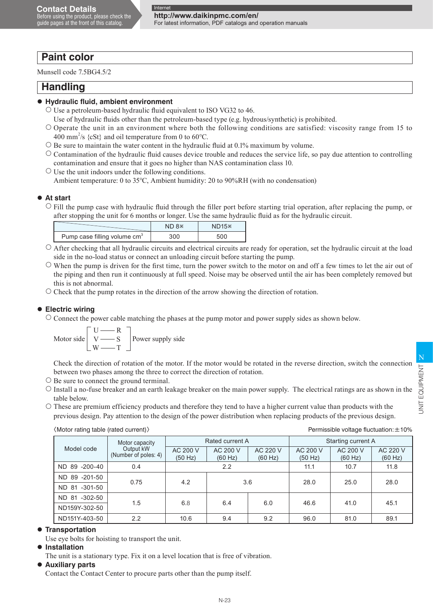# **Paint color**

Munsell code 7.5BG4.5/2

## **Handling**

## **Hydraulic fluid, ambient environment**

- $\circ$  Use a petroleum-based hydraulic fluid equivalent to ISO VG32 to 46.
	- Use of hydraulic fluids other than the petroleum-based type (e.g. hydrous/synthetic) is prohibited.
- $\circ$  Operate the unit in an environment where both the following conditions are satisfied: viscosity range from 15 to 400 mm<sup>2</sup>/s {cSt} and oil temperature from 0 to 60 $^{\circ}$ C.
- $\circ$  Be sure to maintain the water content in the hydraulic fluid at 0.1% maximum by volume.
- $\circ$  Contamination of the hydraulic fluid causes device trouble and reduces the service life, so pay due attention to controlling contamination and ensure that it goes no higher than NAS contamination class 10.
- $\circ$  Use the unit indoors under the following conditions.
	- Ambient temperature: 0 to 35°C, Ambient humidity: 20 to 90%RH (with no condensation)

## **At start**

 Fill the pump case with hydraulic fluid through the filler port before starting trial operation, after replacing the pump, or after stopping the unit for 6 months or longer. Use the same hydraulic fluid as for the hydraulic circuit.

|                                          | ND 8 | $ND15*$ |
|------------------------------------------|------|---------|
| Pump case filling volume cm <sup>3</sup> | 300  |         |

- $\circ$  After checking that all hydraulic circuits and electrical circuits are ready for operation, set the hydraulic circuit at the load side in the no-load status or connect an unloading circuit before starting the pump.
- $\circ$  When the pump is driven for the first time, turn the power switch to the motor on and off a few times to let the air out of the piping and then run it continuously at full speed. Noise may be observed until the air has been completely removed but this is not abnormal.
- $\circ$  Check that the pump rotates in the direction of the arrow showing the direction of rotation.

## **Electric wiring**

 Connect the power cable matching the phases at the pump motor and power supply sides as shown below.

$$
\text{Motor side} \begin{bmatrix} U & \text{---} & R \\ V & \text{---} & S \\ W & \text{---} & T \end{bmatrix} \text{Power supply side}
$$

Check the direction of rotation of the motor. If the motor would be rotated in the reverse direction, switch the connection between two phases among the three to correct the direction of rotation.

- $\circ$  Be sure to connect the ground terminal.
- $\circ$  Install a no-fuse breaker and an earth leakage breaker on the main power supply. The electrical ratings are as shown in the table below.
- These are premium efficiency products and therefore they tend to have a higher current value than products with the previous design. Pay attention to the design of the power distribution when replacing products of the previous design.

〈Motor rating table (rated current)〉

|  | Permissible voltage fluctuation: $\pm$ 10% |  |
|--|--------------------------------------------|--|
|  |                                            |  |

|                    | Motor capacity                    |                     | Rated current A                            |     | Starting current A  |                     |                     |  |
|--------------------|-----------------------------------|---------------------|--------------------------------------------|-----|---------------------|---------------------|---------------------|--|
| Model code         | Output kW<br>(Number of poles: 4) | AC 200 V<br>(50 Hz) | AC 200 V<br>AC 220 V<br>(60 Hz)<br>(60 Hz) |     | AC 200 V<br>(50 Hz) | AC 200 V<br>(60 Hz) | AC 220 V<br>(60 Hz) |  |
| ND 89 -200-40      | 0.4                               |                     | 2.2                                        |     | 11.1                | 10.7                | 11.8                |  |
| ND 89 -201-50      | 0.75                              | 4.2                 |                                            |     | 28.0                | 25.0                | 28.0                |  |
| $-301-50$<br>ND 81 |                                   |                     | 3.6                                        |     |                     |                     |                     |  |
| $-302-50$<br>ND 81 | 1.5                               | 6.8                 |                                            | 6.0 | 46.6                | 41.0                | 45.1                |  |
| ND159Y-302-50      |                                   |                     | 6.4                                        |     |                     |                     |                     |  |
| ND151Y-403-50      | 2.2                               | 10.6                | 9.4                                        | 9.2 | 96.0                | 81.0                | 89.1                |  |

### **Transportation**

Use eye bolts for hoisting to transport the unit.

#### **Installation**

The unit is a stationary type. Fix it on a level location that is free of vibration.

#### **Auxiliary parts**

Contact the Contact Center to procure parts other than the pump itself.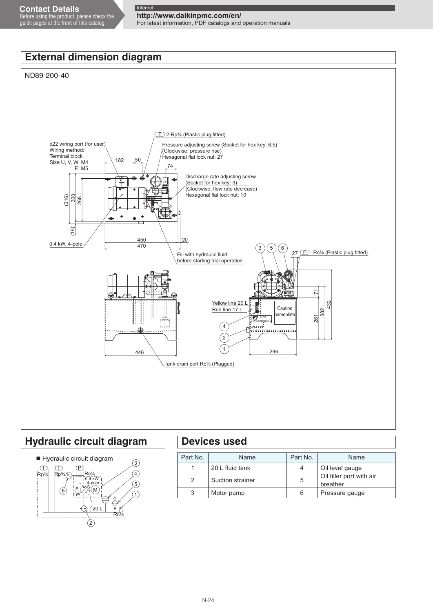# **http://www.daikinpmc.com/en/**

For latest information, PDF catalogs and operation manuals

# **External dimension diagram**

### ND89-200-40



## **Hydraulic circuit diagram Devices used**



| Part No. | Name             | Part No. | Name                                 |
|----------|------------------|----------|--------------------------------------|
|          | 20 L fluid tank  |          | Oil level gauge                      |
| 2        | Suction strainer | 5        | Oil filler port with air<br>breather |
|          | Motor pump       | 6        | Pressure gauge                       |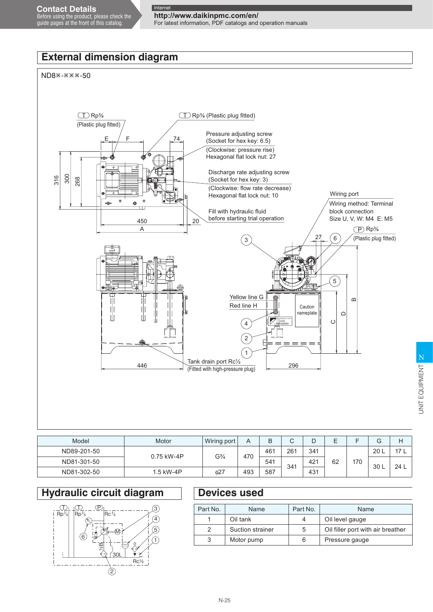## **http://www.daikinpmc.com/en/** For latest information, PDF catalogs and operation manuals

# **External dimension diagram**





| Model       | Motor      | Wiring port                   | A   | B   | ◡   |     | _  |     | $\sqrt{2}$<br>G |      |                 |     |  |  |    |    |
|-------------|------------|-------------------------------|-----|-----|-----|-----|----|-----|-----------------|------|-----------------|-----|--|--|----|----|
| ND89-201-50 |            | G <sup>3</sup> / <sub>4</sub> |     |     |     |     |    |     | 470             | 461  | 26 <sup>′</sup> | 341 |  |  | 20 | 17 |
| ND81-301-50 | 0.75 kW-4P |                               |     | 541 | 341 | 421 | 62 | 170 | 30 L            | 24 L |                 |     |  |  |    |    |
| ND81-302-50 | .5 kW-4P   | 627                           | 493 | 587 |     | 431 |    |     |                 |      |                 |     |  |  |    |    |

# **Hydraulic circuit diagram**



# **Devices used**

| Part No. | Name             | Part No. | Name                              |
|----------|------------------|----------|-----------------------------------|
|          | Oil tank         | 4        | Oil level gauge                   |
|          | Suction strainer | 5        | Oil filler port with air breather |
| 3        | Motor pump       | 6        | Pressure gauge                    |